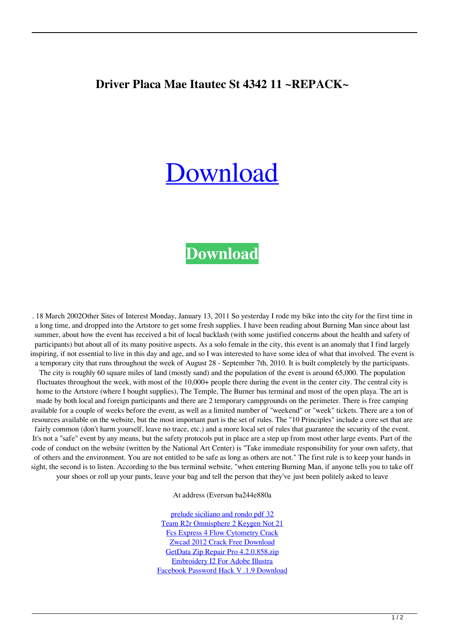## **Driver Placa Mae Itautec St 4342 11 ~REPACK~**

## [Download](https://urllio.com/2l0azz)

## **[Download](https://urllio.com/2l0azz)**

. 18 March 2002Other Sites of Interest Monday, January 13, 2011 So yesterday I rode my bike into the city for the first time in a long time, and dropped into the Artstore to get some fresh supplies. I have been reading about Burning Man since about last summer, about how the event has received a bit of local backlash (with some justified concerns about the health and safety of participants) but about all of its many positive aspects. As a solo female in the city, this event is an anomaly that I find largely inspiring, if not essential to live in this day and age, and so I was interested to have some idea of what that involved. The event is a temporary city that runs throughout the week of August 28 - September 7th, 2010. It is built completely by the participants. The city is roughly 60 square miles of land (mostly sand) and the population of the event is around 65,000. The population fluctuates throughout the week, with most of the 10,000+ people there during the event in the center city. The central city is home to the Artstore (where I bought supplies), The Temple, The Burner bus terminal and most of the open playa. The art is made by both local and foreign participants and there are 2 temporary campgrounds on the perimeter. There is free camping available for a couple of weeks before the event, as well as a limited number of "weekend" or "week" tickets. There are a ton of resources available on the website, but the most important part is the set of rules. The "10 Principles" include a core set that are fairly common (don't harm yourself, leave no trace, etc.) and a more local set of rules that guarantee the security of the event. It's not a "safe" event by any means, but the safety protocols put in place are a step up from most other large events. Part of the code of conduct on the website (written by the National Art Center) is "Take immediate responsibility for your own safety, that of others and the environment. You are not entitled to be safe as long as others are not." The first rule is to keep your hands in sight, the second is to listen. According to the bus terminal website, "when entering Burning Man, if anyone tells you to take off your shoes or roll up your pants, leave your bag and tell the person that they've just been politely asked to leave

At address (Eversun ba244e880a

[prelude siciliano and rondo pdf 32](https://dev.bigkis.com/upload/files/2022/05/3sdhaoRBZIwgdTpGt2oN_19_375487cdc51f6ec7a48af7ecbb8c276b_file.pdf) [Team R2r Omnisphere 2 Keygen Not 21](https://gameurnews.fr/upload/files/2022/05/NcTXVUyvBvXHfS7FMV5J_19_6fc8dd2bc315d3892b4001b07c28caa7_file.pdf) [Fcs Express 4 Flow Cytometry Crack](https://wo.barataa.com/upload/files/2022/05/D3QTnTZcziUSHr8FVjqW_19_deb033da109d23a3dc92de9fd56bf1df_file.pdf) [Zwcad 2012 Crack Free Download](https://didora.org.ua/upload/files/2022/05/KDDkgIBuyKd2rt4wvSd3_19_51397560dbb57c5c2720e93b38e7136f_file.pdf) [GetData Zip Repair Pro 4.2.0.858.zip](https://www.afrogoatinc.com/upload/files/2022/05/4XbNRiQ2vy1uzwGPJSEn_19_deb033da109d23a3dc92de9fd56bf1df_file.pdf) [Embroidery I2 For Adobe Illustra](https://flagonsworkshop.net/upload/files/2022/05/4VKc1nOP2TNujYCg8m2f_19_17fc3444bafe30eac6636f15504d9f7b_file.pdf) [Facebook Password Hack V .1.9 Download](https://catbuzzy.com/upload/files/2022/05/5SbGrh6li9b5hzNUqgB9_19_375487cdc51f6ec7a48af7ecbb8c276b_file.pdf)